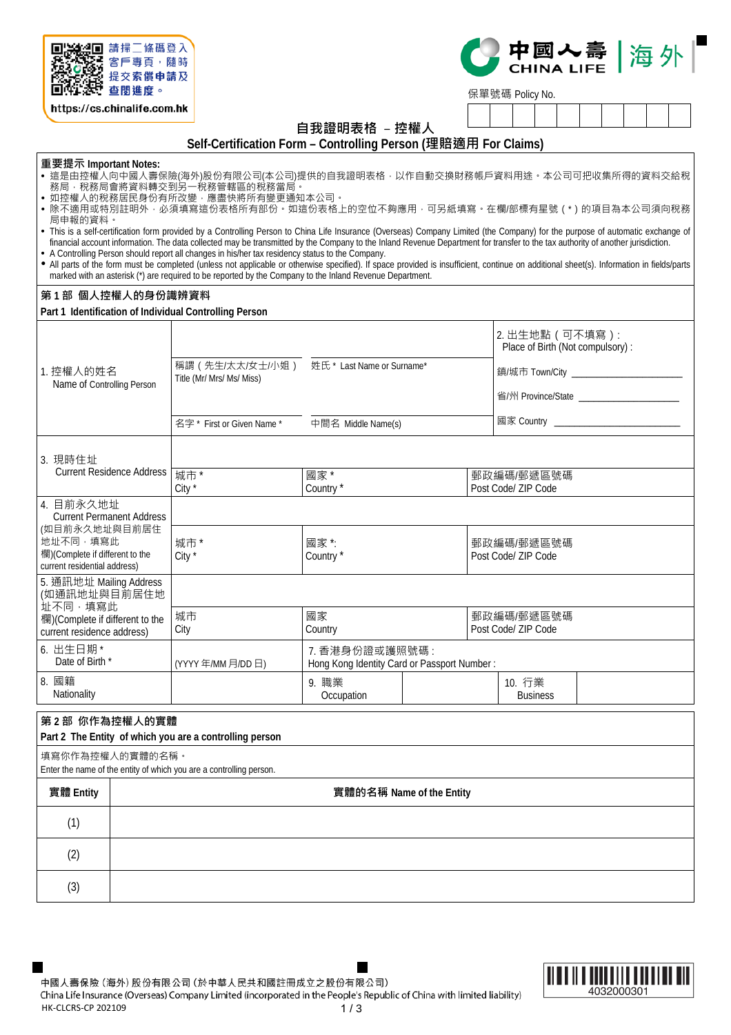

https://cs.chinalife.com.hk

# 中國入壽 | 海外

保單號碼 Policy No.

**自我證明表格** –**控權人**

**Self-Certification Form – Controlling Person (理賠適用 For Claims)** 

**重要提示 Important Notes:**

- 這是由控權人向中國人壽保險(海外)股份有限公司(本公司)提供的自我證明表格,以作自動交換財務帳戶資料用途。本公司可把收集所得的資料交給稅 務局,棿務局會將資料轉交到另一棿務管轄區的棿務富局。
- 如控權人的稅務居民身份有所改變,應盡快將所有變更通知本公司。
- 除不適用或特別註明外 · 必須填寫這份表格所有部份。如這份表格上的空位不夠應用 · 可另紙填寫 。在欄/部標有星號(\*)的項目為本公司須向稅務 局申報的資料。

 A Controlling Person should report all changes in his/her tax residency status to the Company. All parts of the form must be completed (unless not applicable or otherwise specified). If space provided is insufficient, continue on additional sheet(s). Information in fields/parts marked with an asterisk (\*) are required to be reported by the Company to the Inland Revenue Department.

### **第 1 部 個人控權人的身份識辨資料**

**Part 1 Identification of Individual Controlling Person**

| 1. 控權人的姓名<br>Name of Controlling Person                                                      | 稱謂(先生/太太/女士/小姐)<br>姓氏* Last Name or Surname*<br>Title (Mr/ Mrs/ Ms/ Miss)<br>名字* First or Given Name *<br>中間名 Middle Name(s) |                                                               | 2. 出生地點 (可不填寫):<br>Place of Birth (Not compulsory) :<br>省/州 Province/State ______________________<br>國家 Country ____________________________ |  |  |
|----------------------------------------------------------------------------------------------|------------------------------------------------------------------------------------------------------------------------------|---------------------------------------------------------------|----------------------------------------------------------------------------------------------------------------------------------------------|--|--|
| 3. 現時住址<br><b>Current Residence Address</b>                                                  | 城市*<br>City *                                                                                                                | 國家 *<br>Country*                                              | 郵政編碼/郵遞區號碼<br>Post Code/ ZIP Code                                                                                                            |  |  |
| 4. 目前永久地址<br><b>Current Permanent Address</b>                                                |                                                                                                                              |                                                               |                                                                                                                                              |  |  |
| (如目前永久地址與目前居住<br>地址不同·填寫此<br>欄)(Complete if different to the<br>current residential address) | 城市*<br>國家 *:<br>City *<br>Country*                                                                                           |                                                               | 郵政編碼/郵遞區號碼<br>Post Code/ ZIP Code                                                                                                            |  |  |
| 5. 通訊地址 Mailing Address<br>(如通訊地址與目前居住地                                                      |                                                                                                                              |                                                               |                                                                                                                                              |  |  |
| 址不同,填寫此<br>欄)(Complete if different to the<br>current residence address)                     | 城市<br>國家<br>City<br>Country                                                                                                  |                                                               | 郵政編碼/郵遞區號碼<br>Post Code/ ZIP Code                                                                                                            |  |  |
| 6. 出生日期 *<br>Date of Birth *                                                                 | (YYYY年/MM月/DD日)                                                                                                              | 7. 香港身份證或護照號碼:<br>Hong Kong Identity Card or Passport Number: |                                                                                                                                              |  |  |
| 8. 國籍<br>Nationality                                                                         |                                                                                                                              | 9. 職業<br>Occupation                                           | 10. 行業<br><b>Business</b>                                                                                                                    |  |  |
| 第2部 你作為控權人的實體                                                                                |                                                                                                                              |                                                               |                                                                                                                                              |  |  |

#### **Part 2 The Entity of which you are a controlling person**

填寫你作為控權人的實體的名稱。

Enter the name of the entity of which you are a controlling person.

| 實體 Entity | 實體的名稱 Name of the Entity |
|-----------|--------------------------|
| (1)       |                          |
| (2)       |                          |
| (3)       |                          |

中國人壽保險 (海外) 股份有限公司 (於中華人民共和國註冊成立之股份有限公司) China Life Insurance (Overseas) Company Limited (incorporated in the People's Republic of China with limited liability) HK-CLCRS-CP 202109  $1/3$ 



This is a self-certification form provided by a Controlling Person to China Life Insurance (Overseas) Company Limited (the Company) for the purpose of automatic exchange of financial account information. The data collected may be transmitted by the Company to the Inland Revenue Department for transfer to the tax authority of another jurisdiction.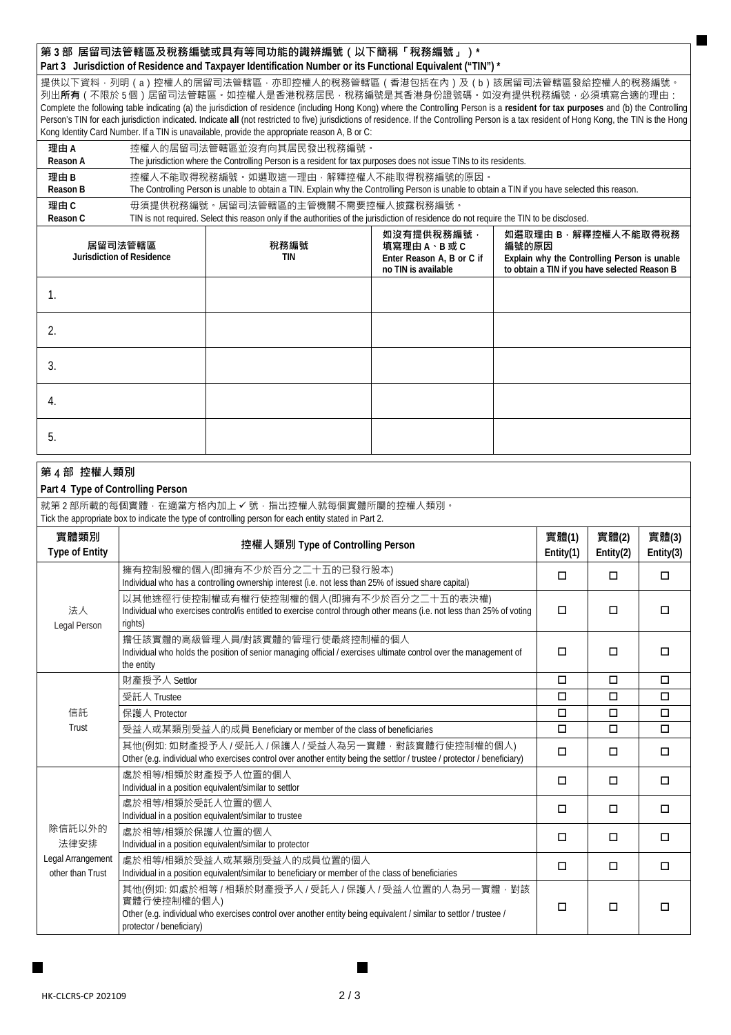## **第 3 部 居留司法管轄區及稅務編號或具有等同功能的識辨編號(以下簡稱「稅務編號」)\***

**Part 3 Jurisdiction of Residence and Taxpayer Identification Number or its Functional Equivalent ("TIN") \***

提供以下資料 · 列明(a)控權人的居留司法管轄區 · 亦即控權人的稅務管轄區(香港包括在內)及(b)該居留司法管轄區發給控權人的稅務編號 · 列出**所有**(不限於 5 個)居留司法管轄區。如控權人是香港稅務居民,稅務編號是其香港身份證號碼。如沒有提供稅務編號,必須填寫合適的理由: Complete the following table indicating (a) the jurisdiction of residence (including Hong Kong) where the Controlling Person is a **resident for tax purposes** and (b) the Controlling Person's TIN for each jurisdiction indicated. Indicate **all** (not restricted to five) jurisdictions of residence. If the Controlling Person is a tax resident of Hong Kong, the TIN is the Hong Kong Identity Card Number. If a TIN is unavailable, provide the appropriate reason A, B or C:

| 理由A      | 控權人的居留司法管轄區並沒有向其居民發出稅務編號。                                                                                                                                                      |  |  |  |  |
|----------|--------------------------------------------------------------------------------------------------------------------------------------------------------------------------------|--|--|--|--|
| Reason A | The jurisdiction where the Controlling Person is a resident for tax purposes does not issue TINs to its residents.                                                             |  |  |  |  |
| 理由B      | 控權人不能取得稅務編號。如選取狺一理由,解釋控權人不能取得稅務編號的原因。                                                                                                                                          |  |  |  |  |
| Reason B | The Controlling Person is unable to obtain a TIN. Explain why the Controlling Person is unable to obtain a TIN if you have selected this reason.                               |  |  |  |  |
| 理由C      | 毋須提供稅務編號。居留司法管轄區的主管機關不需要控權人披露稅務編號。<br>TIN is not required. Select this reason only if the authorities of the jurisdiction of residence do not require the TIN to be disclosed. |  |  |  |  |
| Reason C |                                                                                                                                                                                |  |  |  |  |
|          | 如沒有提供稅務編號<br>如選取理由 B · 解釋控權人不能取得稅務                                                                                                                                             |  |  |  |  |

| 居留司法管轄區<br><b>Jurisdiction of Residence</b> | 稅務編號<br><b>TIN</b> | 填寫理由A、B或C<br>Enter Reason A, B or C if<br>no TIN is available | 編號的原因<br>Explain why the Controlling Person is unable<br>to obtain a TIN if you have selected Reason B |
|---------------------------------------------|--------------------|---------------------------------------------------------------|--------------------------------------------------------------------------------------------------------|
|                                             |                    |                                                               |                                                                                                        |
|                                             |                    |                                                               |                                                                                                        |
|                                             |                    |                                                               |                                                                                                        |
| 4.                                          |                    |                                                               |                                                                                                        |
| b.                                          |                    |                                                               |                                                                                                        |

| 第4部控權人類別<br>Part 4 Type of Controlling Person                                                                                                         |                                                                                                                                                                                                                          |                       |                       |                       |  |  |
|-------------------------------------------------------------------------------------------------------------------------------------------------------|--------------------------------------------------------------------------------------------------------------------------------------------------------------------------------------------------------------------------|-----------------------|-----------------------|-----------------------|--|--|
| 就第2部所載的每個實體·在適當方格內加上 V 號·指出控權人就每個實體所屬的控權人類別·<br>Tick the appropriate box to indicate the type of controlling person for each entity stated in Part 2. |                                                                                                                                                                                                                          |                       |                       |                       |  |  |
| 實體類別<br><b>Type of Entity</b>                                                                                                                         | 控權人類別 Type of Controlling Person                                                                                                                                                                                         | 實體(1)<br>Entity $(1)$ | 實體(2)<br>Entity $(2)$ | 實體(3)<br>Entity $(3)$ |  |  |
|                                                                                                                                                       | 擁有控制股權的個人(即擁有不少於百分之二十五的已發行股本)<br>Individual who has a controlling ownership interest (i.e. not less than 25% of issued share capital)                                                                                    | $\Box$                | $\Box$                | $\Box$                |  |  |
| 法人<br>Legal Person                                                                                                                                    | 以其他途徑行使控制權或有權行使控制權的個人(即擁有不少於百分之二十五的表決權)<br>Individual who exercises control/is entitled to exercise control through other means (i.e. not less than 25% of voting<br>rights)                                             | $\Box$                | $\Box$                | $\Box$                |  |  |
|                                                                                                                                                       | 擔任該實體的高級管理人員/對該實體的管理行使最終控制權的個人<br>Individual who holds the position of senior managing official / exercises ultimate control over the management of<br>the entity                                                        | $\Box$                | П                     | □                     |  |  |
|                                                                                                                                                       | 財產授予人 Settlor                                                                                                                                                                                                            | $\Box$                | $\Box$                | $\Box$                |  |  |
|                                                                                                                                                       | 受託人 Trustee                                                                                                                                                                                                              | $\Box$                | $\Box$                | $\Box$                |  |  |
| 信託                                                                                                                                                    | 保護人 Protector                                                                                                                                                                                                            | $\Box$                | □                     | $\Box$                |  |  |
| Trust                                                                                                                                                 | 受益人或某類別受益人的成員 Beneficiary or member of the class of beneficiaries                                                                                                                                                        | $\Box$                | $\Box$                | $\Box$                |  |  |
|                                                                                                                                                       | 其他(例如: 如財產授予人 / 受託人 / 保護人 / 受益人為另一實體, 對該實體行使控制權的個人)<br>Other (e.g. individual who exercises control over another entity being the settlor / trustee / protector / beneficiary)                                           | $\Box$                | $\Box$                | $\Box$                |  |  |
|                                                                                                                                                       | 處於相等/相類於財產授予人位置的個人<br>Individual in a position equivalent/similar to settlor                                                                                                                                             | $\Box$                | $\Box$                | $\Box$                |  |  |
|                                                                                                                                                       | 處於相等/相類於受託人位置的個人<br>Individual in a position equivalent/similar to trustee                                                                                                                                               | $\Box$                | $\Box$                | $\Box$                |  |  |
| 除信託以外的<br>法律安排                                                                                                                                        | 處於相等/相類於保護人位置的個人<br>Individual in a position equivalent/similar to protector                                                                                                                                             | $\Box$                | $\Box$                | $\Box$                |  |  |
| Legal Arrangement<br>other than Trust                                                                                                                 | 處於相等/相類於受益人或某類別受益人的成員位置的個人<br>Individual in a position equivalent/similar to beneficiary or member of the class of beneficiaries                                                                                         | $\Box$                | □                     | $\Box$                |  |  |
|                                                                                                                                                       | 其他(例如: 如處於相等 / 相類於財產授予人 / 受託人 / 保護人 / 受益人位置的人為另一實體 · 對該<br>實體行使控制權的個人)<br>Other (e.g. individual who exercises control over another entity being equivalent / similar to settlor / trustee /<br>protector / beneficiary) | $\Box$                | $\Box$                | $\Box$                |  |  |